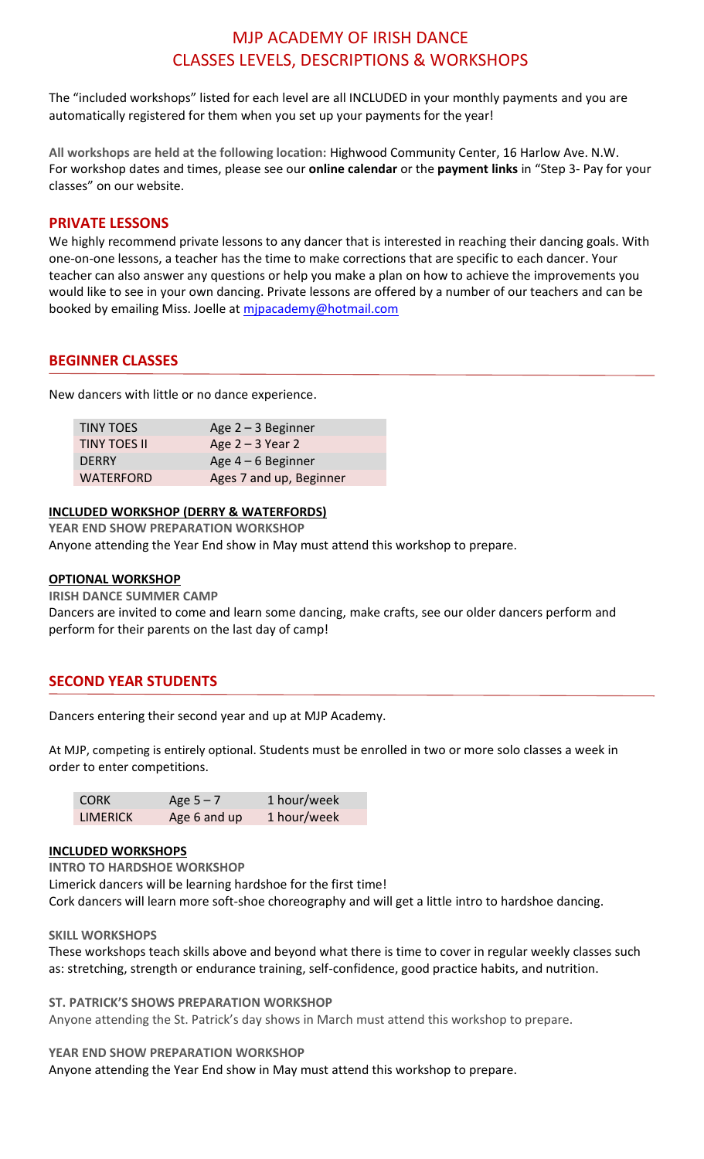# MJP ACADEMY OF IRISH DANCE CLASSES LEVELS, DESCRIPTIONS & WORKSHOPS

The "included workshops" listed for each level are all INCLUDED in your monthly payments and you are automatically registered for them when you set up your payments for the year!

**All workshops are held at the following location:** Highwood Community Center, 16 Harlow Ave. N.W. For workshop dates and times, please see our **online calendar** or the **payment links** in "Step 3- Pay for your classes" on our website.

## **PRIVATE LESSONS**

We highly recommend private lessons to any dancer that is interested in reaching their dancing goals. With one-on-one lessons, a teacher has the time to make corrections that are specific to each dancer. Your teacher can also answer any questions or help you make a plan on how to achieve the improvements you would like to see in your own dancing. Private lessons are offered by a number of our teachers and can be booked by emailing Miss. Joelle at mipacademy@hotmail.com

## **BEGINNER CLASSES**

New dancers with little or no dance experience.

| <b>TINY TOES</b>    | Age $2 - 3$ Beginner    |
|---------------------|-------------------------|
| <b>TINY TOES II</b> | Age $2 - 3$ Year 2      |
| <b>DERRY</b>        | Age $4-6$ Beginner      |
| <b>WATERFORD</b>    | Ages 7 and up, Beginner |
|                     |                         |

## **INCLUDED WORKSHOP (DERRY & WATERFORDS)**

**YEAR END SHOW PREPARATION WORKSHOP** 

Anyone attending the Year End show in May must attend this workshop to prepare.

## **OPTIONAL WORKSHOP**

**IRISH DANCE SUMMER CAMP** 

Dancers are invited to come and learn some dancing, make crafts, see our older dancers perform and perform for their parents on the last day of camp!

## **SECOND YEAR STUDENTS**

Dancers entering their second year and up at MJP Academy.

At MJP, competing is entirely optional. Students must be enrolled in two or more solo classes a week in order to enter competitions.

| <b>CORK</b>     | Age $5 - 7$  | 1 hour/week |
|-----------------|--------------|-------------|
| <b>LIMERICK</b> | Age 6 and up | 1 hour/week |

## **INCLUDED WORKSHOPS**

**INTRO TO HARDSHOE WORKSHOP**  Limerick dancers will be learning hardshoe for the first time! Cork dancers will learn more soft-shoe choreography and will get a little intro to hardshoe dancing.

#### **SKILL WORKSHOPS**

These workshops teach skills above and beyond what there is time to cover in regular weekly classes such as: stretching, strength or endurance training, self-confidence, good practice habits, and nutrition.

**ST. PATRICK'S SHOWS PREPARATION WORKSHOP** 

Anyone attending the St. Patrick's day shows in March must attend this workshop to prepare.

**YEAR END SHOW PREPARATION WORKSHOP** 

Anyone attending the Year End show in May must attend this workshop to prepare.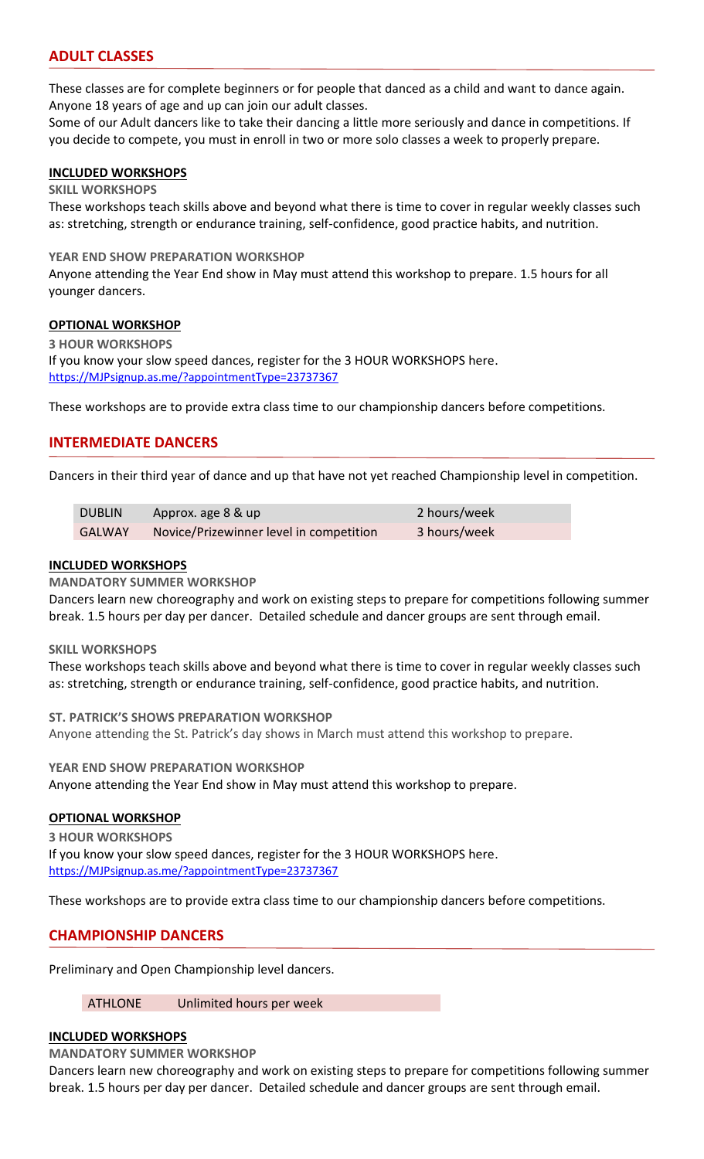## **ADULT CLASSES**

These classes are for complete beginners or for people that danced as a child and want to dance again. Anyone 18 years of age and up can join our adult classes.

Some of our Adult dancers like to take their dancing a little more seriously and dance in competitions. If you decide to compete, you must in enroll in two or more solo classes a week to properly prepare.

## **INCLUDED WORKSHOPS**

## **SKILL WORKSHOPS**

These workshops teach skills above and beyond what there is time to cover in regular weekly classes such as: stretching, strength or endurance training, self-confidence, good practice habits, and nutrition.

#### **YEAR END SHOW PREPARATION WORKSHOP**

Anyone attending the Year End show in May must attend this workshop to prepare. 1.5 hours for all younger dancers.

#### **OPTIONAL WORKSHOP**

**3 HOUR WORKSHOPS**  If you know your slow speed dances, register for the 3 HOUR WORKSHOPS here. [https://MJPsignup.as.me/?appointmentType=23737367](https://mjpsignup.as.me/?appointmentType=23737367)

These workshops are to provide extra class time to our championship dancers before competitions.

## **INTERMEDIATE DANCERS**

Dancers in their third year of dance and up that have not yet reached Championship level in competition.

| <b>DUBLIN</b> | Approx. age 8 & up                      | 2 hours/week |
|---------------|-----------------------------------------|--------------|
| <b>GALWAY</b> | Novice/Prizewinner level in competition | 3 hours/week |

#### **INCLUDED WORKSHOPS**

#### **MANDATORY SUMMER WORKSHOP**

Dancers learn new choreography and work on existing steps to prepare for competitions following summer break. 1.5 hours per day per dancer. Detailed schedule and dancer groups are sent through email.

#### **SKILL WORKSHOPS**

These workshops teach skills above and beyond what there is time to cover in regular weekly classes such as: stretching, strength or endurance training, self-confidence, good practice habits, and nutrition.

**ST. PATRICK'S SHOWS PREPARATION WORKSHOP** 

Anyone attending the St. Patrick's day shows in March must attend this workshop to prepare.

**YEAR END SHOW PREPARATION WORKSHOP**  Anyone attending the Year End show in May must attend this workshop to prepare.

## **OPTIONAL WORKSHOP**

**3 HOUR WORKSHOPS**  If you know your slow speed dances, register for the 3 HOUR WORKSHOPS here. [https://MJPsignup.as.me/?appointmentType=23737367](https://mjpsignup.as.me/?appointmentType=23737367)

These workshops are to provide extra class time to our championship dancers before competitions.

## **CHAMPIONSHIP DANCERS**

Preliminary and Open Championship level dancers.

#### ATHLONE Unlimited hours per week

#### **INCLUDED WORKSHOPS**

**MANDATORY SUMMER WORKSHOP** 

Dancers learn new choreography and work on existing steps to prepare for competitions following summer break. 1.5 hours per day per dancer. Detailed schedule and dancer groups are sent through email.